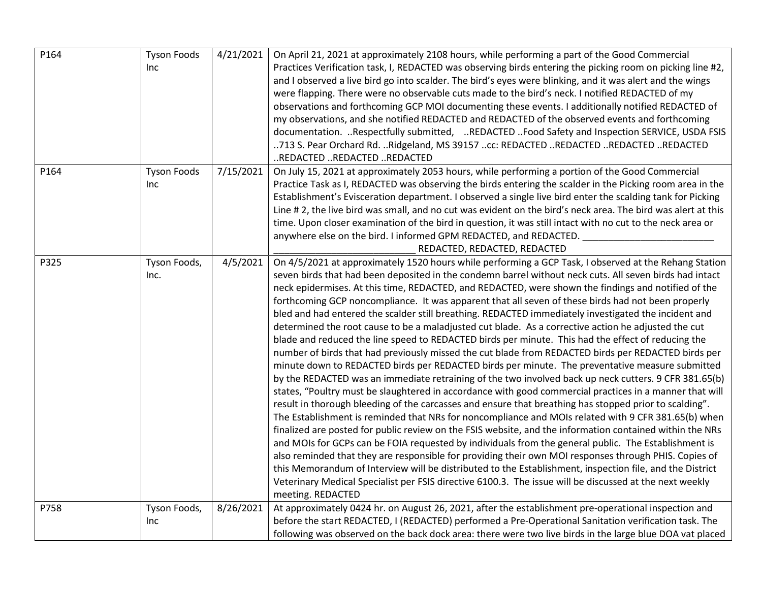| P164 | <b>Tyson Foods</b><br><b>Inc</b> | 4/21/2021 | On April 21, 2021 at approximately 2108 hours, while performing a part of the Good Commercial<br>Practices Verification task, I, REDACTED was observing birds entering the picking room on picking line #2,<br>and I observed a live bird go into scalder. The bird's eyes were blinking, and it was alert and the wings<br>were flapping. There were no observable cuts made to the bird's neck. I notified REDACTED of my<br>observations and forthcoming GCP MOI documenting these events. I additionally notified REDACTED of<br>my observations, and she notified REDACTED and REDACTED of the observed events and forthcoming<br>documentation. Respectfully submitted, REDACTED Food Safety and Inspection SERVICE, USDA FSIS<br>713 S. Pear Orchard Rd. Ridgeland, MS 39157 cc: REDACTED REDACTED REDACTED REDACTED<br>REDACTED REDACTED REDACTED                                                                                                                                                                                                                                                                                                                                                                                                                                                                                                                                                                                                                                                                                                                                                                                                                                                                                                                                                                                                                                                                                                                  |
|------|----------------------------------|-----------|----------------------------------------------------------------------------------------------------------------------------------------------------------------------------------------------------------------------------------------------------------------------------------------------------------------------------------------------------------------------------------------------------------------------------------------------------------------------------------------------------------------------------------------------------------------------------------------------------------------------------------------------------------------------------------------------------------------------------------------------------------------------------------------------------------------------------------------------------------------------------------------------------------------------------------------------------------------------------------------------------------------------------------------------------------------------------------------------------------------------------------------------------------------------------------------------------------------------------------------------------------------------------------------------------------------------------------------------------------------------------------------------------------------------------------------------------------------------------------------------------------------------------------------------------------------------------------------------------------------------------------------------------------------------------------------------------------------------------------------------------------------------------------------------------------------------------------------------------------------------------------------------------------------------------------------------------------------------------|
| P164 | <b>Tyson Foods</b><br>Inc.       | 7/15/2021 | On July 15, 2021 at approximately 2053 hours, while performing a portion of the Good Commercial<br>Practice Task as I, REDACTED was observing the birds entering the scalder in the Picking room area in the<br>Establishment's Evisceration department. I observed a single live bird enter the scalding tank for Picking<br>Line #2, the live bird was small, and no cut was evident on the bird's neck area. The bird was alert at this<br>time. Upon closer examination of the bird in question, it was still intact with no cut to the neck area or<br>anywhere else on the bird. I informed GPM REDACTED, and REDACTED.<br>REDACTED, REDACTED, REDACTED                                                                                                                                                                                                                                                                                                                                                                                                                                                                                                                                                                                                                                                                                                                                                                                                                                                                                                                                                                                                                                                                                                                                                                                                                                                                                                              |
| P325 | Tyson Foods,<br>Inc.             | 4/5/2021  | On 4/5/2021 at approximately 1520 hours while performing a GCP Task, I observed at the Rehang Station<br>seven birds that had been deposited in the condemn barrel without neck cuts. All seven birds had intact<br>neck epidermises. At this time, REDACTED, and REDACTED, were shown the findings and notified of the<br>forthcoming GCP noncompliance. It was apparent that all seven of these birds had not been properly<br>bled and had entered the scalder still breathing. REDACTED immediately investigated the incident and<br>determined the root cause to be a maladjusted cut blade. As a corrective action he adjusted the cut<br>blade and reduced the line speed to REDACTED birds per minute. This had the effect of reducing the<br>number of birds that had previously missed the cut blade from REDACTED birds per REDACTED birds per<br>minute down to REDACTED birds per REDACTED birds per minute. The preventative measure submitted<br>by the REDACTED was an immediate retraining of the two involved back up neck cutters. 9 CFR 381.65(b)<br>states, "Poultry must be slaughtered in accordance with good commercial practices in a manner that will<br>result in thorough bleeding of the carcasses and ensure that breathing has stopped prior to scalding".<br>The Establishment is reminded that NRs for noncompliance and MOIs related with 9 CFR 381.65(b) when<br>finalized are posted for public review on the FSIS website, and the information contained within the NRs<br>and MOIs for GCPs can be FOIA requested by individuals from the general public. The Establishment is<br>also reminded that they are responsible for providing their own MOI responses through PHIS. Copies of<br>this Memorandum of Interview will be distributed to the Establishment, inspection file, and the District<br>Veterinary Medical Specialist per FSIS directive 6100.3. The issue will be discussed at the next weekly<br>meeting. REDACTED |
| P758 | Tyson Foods,<br>Inc              | 8/26/2021 | At approximately 0424 hr. on August 26, 2021, after the establishment pre-operational inspection and<br>before the start REDACTED, I (REDACTED) performed a Pre-Operational Sanitation verification task. The<br>following was observed on the back dock area: there were two live birds in the large blue DOA vat placed                                                                                                                                                                                                                                                                                                                                                                                                                                                                                                                                                                                                                                                                                                                                                                                                                                                                                                                                                                                                                                                                                                                                                                                                                                                                                                                                                                                                                                                                                                                                                                                                                                                  |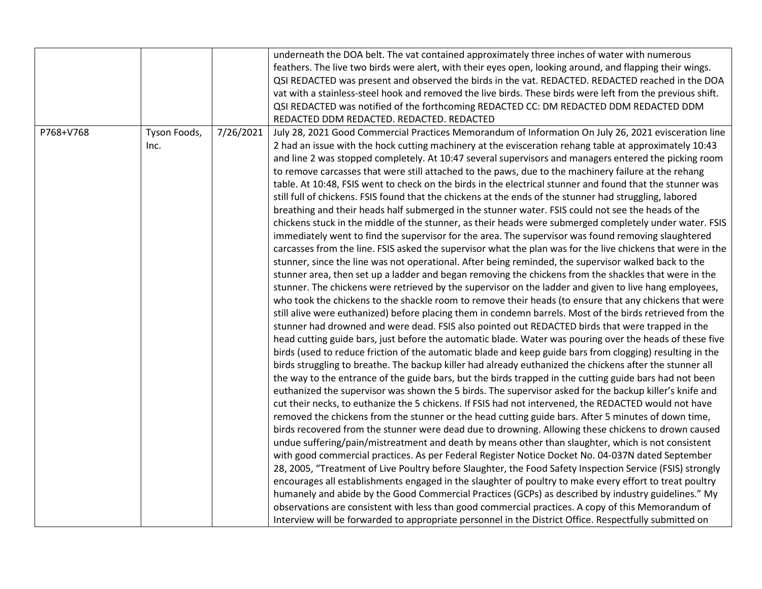|           |              |           | underneath the DOA belt. The vat contained approximately three inches of water with numerous                |
|-----------|--------------|-----------|-------------------------------------------------------------------------------------------------------------|
|           |              |           | feathers. The live two birds were alert, with their eyes open, looking around, and flapping their wings.    |
|           |              |           | QSI REDACTED was present and observed the birds in the vat. REDACTED. REDACTED reached in the DOA           |
|           |              |           | vat with a stainless-steel hook and removed the live birds. These birds were left from the previous shift.  |
|           |              |           | QSI REDACTED was notified of the forthcoming REDACTED CC: DM REDACTED DDM REDACTED DDM                      |
|           |              |           | REDACTED DDM REDACTED. REDACTED. REDACTED                                                                   |
| P768+V768 | Tyson Foods, | 7/26/2021 | July 28, 2021 Good Commercial Practices Memorandum of Information On July 26, 2021 evisceration line        |
|           | Inc.         |           | 2 had an issue with the hock cutting machinery at the evisceration rehang table at approximately 10:43      |
|           |              |           | and line 2 was stopped completely. At 10:47 several supervisors and managers entered the picking room       |
|           |              |           | to remove carcasses that were still attached to the paws, due to the machinery failure at the rehang        |
|           |              |           | table. At 10:48, FSIS went to check on the birds in the electrical stunner and found that the stunner was   |
|           |              |           | still full of chickens. FSIS found that the chickens at the ends of the stunner had struggling, labored     |
|           |              |           | breathing and their heads half submerged in the stunner water. FSIS could not see the heads of the          |
|           |              |           | chickens stuck in the middle of the stunner, as their heads were submerged completely under water. FSIS     |
|           |              |           | immediately went to find the supervisor for the area. The supervisor was found removing slaughtered         |
|           |              |           | carcasses from the line. FSIS asked the supervisor what the plan was for the live chickens that were in the |
|           |              |           | stunner, since the line was not operational. After being reminded, the supervisor walked back to the        |
|           |              |           | stunner area, then set up a ladder and began removing the chickens from the shackles that were in the       |
|           |              |           | stunner. The chickens were retrieved by the supervisor on the ladder and given to live hang employees,      |
|           |              |           | who took the chickens to the shackle room to remove their heads (to ensure that any chickens that were      |
|           |              |           | still alive were euthanized) before placing them in condemn barrels. Most of the birds retrieved from the   |
|           |              |           | stunner had drowned and were dead. FSIS also pointed out REDACTED birds that were trapped in the            |
|           |              |           | head cutting guide bars, just before the automatic blade. Water was pouring over the heads of these five    |
|           |              |           | birds (used to reduce friction of the automatic blade and keep guide bars from clogging) resulting in the   |
|           |              |           | birds struggling to breathe. The backup killer had already euthanized the chickens after the stunner all    |
|           |              |           | the way to the entrance of the guide bars, but the birds trapped in the cutting guide bars had not been     |
|           |              |           | euthanized the supervisor was shown the 5 birds. The supervisor asked for the backup killer's knife and     |
|           |              |           | cut their necks, to euthanize the 5 chickens. If FSIS had not intervened, the REDACTED would not have       |
|           |              |           | removed the chickens from the stunner or the head cutting guide bars. After 5 minutes of down time,         |
|           |              |           | birds recovered from the stunner were dead due to drowning. Allowing these chickens to drown caused         |
|           |              |           | undue suffering/pain/mistreatment and death by means other than slaughter, which is not consistent          |
|           |              |           | with good commercial practices. As per Federal Register Notice Docket No. 04-037N dated September           |
|           |              |           | 28, 2005, "Treatment of Live Poultry before Slaughter, the Food Safety Inspection Service (FSIS) strongly   |
|           |              |           | encourages all establishments engaged in the slaughter of poultry to make every effort to treat poultry     |
|           |              |           | humanely and abide by the Good Commercial Practices (GCPs) as described by industry guidelines." My         |
|           |              |           | observations are consistent with less than good commercial practices. A copy of this Memorandum of          |
|           |              |           | Interview will be forwarded to appropriate personnel in the District Office. Respectfully submitted on      |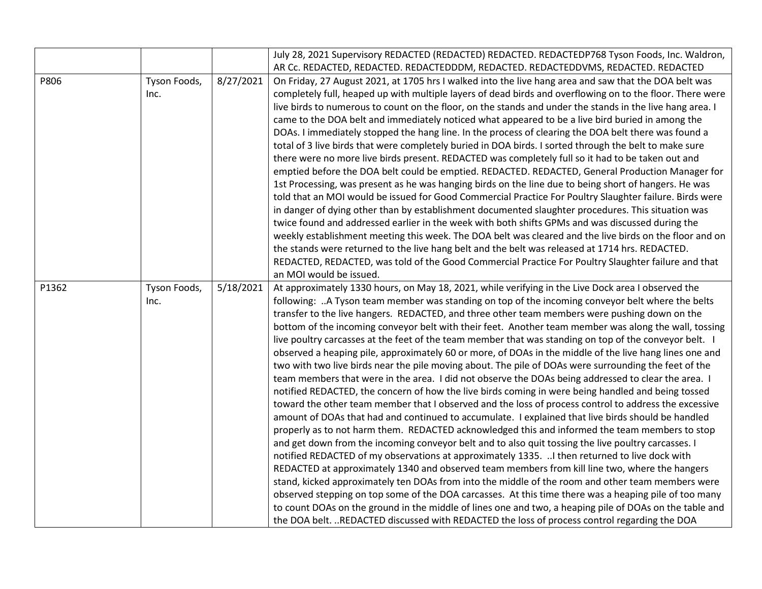|       |              |           | July 28, 2021 Supervisory REDACTED (REDACTED) REDACTED. REDACTEDP768 Tyson Foods, Inc. Waldron,           |
|-------|--------------|-----------|-----------------------------------------------------------------------------------------------------------|
|       |              |           | AR Cc. REDACTED, REDACTED. REDACTEDDDM, REDACTED. REDACTEDDVMS, REDACTED. REDACTED                        |
| P806  | Tyson Foods, | 8/27/2021 | On Friday, 27 August 2021, at 1705 hrs I walked into the live hang area and saw that the DOA belt was     |
|       | Inc.         |           | completely full, heaped up with multiple layers of dead birds and overflowing on to the floor. There were |
|       |              |           | live birds to numerous to count on the floor, on the stands and under the stands in the live hang area. I |
|       |              |           | came to the DOA belt and immediately noticed what appeared to be a live bird buried in among the          |
|       |              |           | DOAs. I immediately stopped the hang line. In the process of clearing the DOA belt there was found a      |
|       |              |           | total of 3 live birds that were completely buried in DOA birds. I sorted through the belt to make sure    |
|       |              |           | there were no more live birds present. REDACTED was completely full so it had to be taken out and         |
|       |              |           | emptied before the DOA belt could be emptied. REDACTED. REDACTED, General Production Manager for          |
|       |              |           | 1st Processing, was present as he was hanging birds on the line due to being short of hangers. He was     |
|       |              |           | told that an MOI would be issued for Good Commercial Practice For Poultry Slaughter failure. Birds were   |
|       |              |           | in danger of dying other than by establishment documented slaughter procedures. This situation was        |
|       |              |           | twice found and addressed earlier in the week with both shifts GPMs and was discussed during the          |
|       |              |           | weekly establishment meeting this week. The DOA belt was cleared and the live birds on the floor and on   |
|       |              |           | the stands were returned to the live hang belt and the belt was released at 1714 hrs. REDACTED.           |
|       |              |           | REDACTED, REDACTED, was told of the Good Commercial Practice For Poultry Slaughter failure and that       |
|       |              |           | an MOI would be issued.                                                                                   |
| P1362 | Tyson Foods, | 5/18/2021 | At approximately 1330 hours, on May 18, 2021, while verifying in the Live Dock area I observed the        |
|       | Inc.         |           | following: A Tyson team member was standing on top of the incoming conveyor belt where the belts          |
|       |              |           | transfer to the live hangers. REDACTED, and three other team members were pushing down on the             |
|       |              |           | bottom of the incoming conveyor belt with their feet. Another team member was along the wall, tossing     |
|       |              |           | live poultry carcasses at the feet of the team member that was standing on top of the conveyor belt. I    |
|       |              |           | observed a heaping pile, approximately 60 or more, of DOAs in the middle of the live hang lines one and   |
|       |              |           | two with two live birds near the pile moving about. The pile of DOAs were surrounding the feet of the     |
|       |              |           | team members that were in the area. I did not observe the DOAs being addressed to clear the area. I       |
|       |              |           | notified REDACTED, the concern of how the live birds coming in were being handled and being tossed        |
|       |              |           | toward the other team member that I observed and the loss of process control to address the excessive     |
|       |              |           | amount of DOAs that had and continued to accumulate. I explained that live birds should be handled        |
|       |              |           | properly as to not harm them. REDACTED acknowledged this and informed the team members to stop            |
|       |              |           | and get down from the incoming conveyor belt and to also quit tossing the live poultry carcasses. I       |
|       |              |           | notified REDACTED of my observations at approximately 1335.  I then returned to live dock with            |
|       |              |           | REDACTED at approximately 1340 and observed team members from kill line two, where the hangers            |
|       |              |           | stand, kicked approximately ten DOAs from into the middle of the room and other team members were         |
|       |              |           | observed stepping on top some of the DOA carcasses. At this time there was a heaping pile of too many     |
|       |              |           | to count DOAs on the ground in the middle of lines one and two, a heaping pile of DOAs on the table and   |
|       |              |           | the DOA belt. REDACTED discussed with REDACTED the loss of process control regarding the DOA              |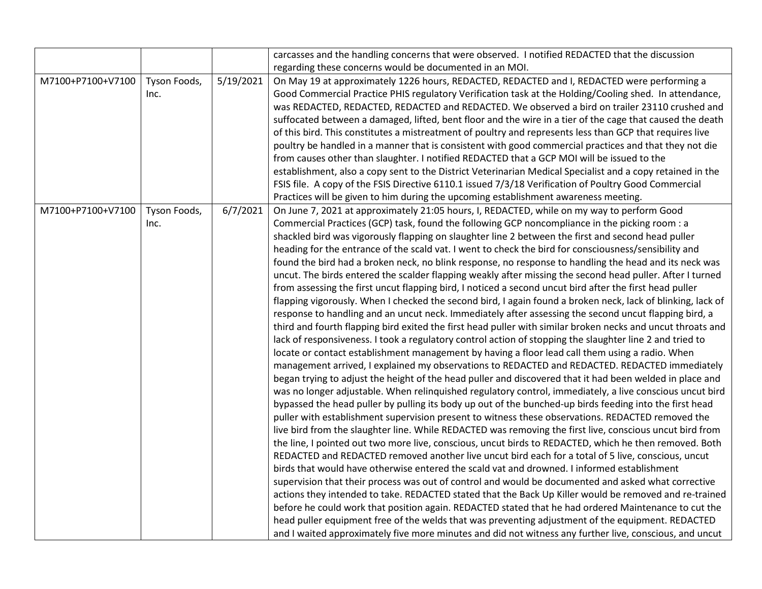|                   |              |           | carcasses and the handling concerns that were observed. I notified REDACTED that the discussion             |
|-------------------|--------------|-----------|-------------------------------------------------------------------------------------------------------------|
|                   |              |           | regarding these concerns would be documented in an MOI.                                                     |
| M7100+P7100+V7100 | Tyson Foods, | 5/19/2021 | On May 19 at approximately 1226 hours, REDACTED, REDACTED and I, REDACTED were performing a                 |
|                   | Inc.         |           | Good Commercial Practice PHIS regulatory Verification task at the Holding/Cooling shed. In attendance,      |
|                   |              |           | was REDACTED, REDACTED, REDACTED and REDACTED. We observed a bird on trailer 23110 crushed and              |
|                   |              |           | suffocated between a damaged, lifted, bent floor and the wire in a tier of the cage that caused the death   |
|                   |              |           | of this bird. This constitutes a mistreatment of poultry and represents less than GCP that requires live    |
|                   |              |           | poultry be handled in a manner that is consistent with good commercial practices and that they not die      |
|                   |              |           | from causes other than slaughter. I notified REDACTED that a GCP MOI will be issued to the                  |
|                   |              |           | establishment, also a copy sent to the District Veterinarian Medical Specialist and a copy retained in the  |
|                   |              |           | FSIS file. A copy of the FSIS Directive 6110.1 issued 7/3/18 Verification of Poultry Good Commercial        |
|                   |              |           | Practices will be given to him during the upcoming establishment awareness meeting.                         |
| M7100+P7100+V7100 | Tyson Foods, | 6/7/2021  | On June 7, 2021 at approximately 21:05 hours, I, REDACTED, while on my way to perform Good                  |
|                   | Inc.         |           | Commercial Practices (GCP) task, found the following GCP noncompliance in the picking room : a              |
|                   |              |           | shackled bird was vigorously flapping on slaughter line 2 between the first and second head puller          |
|                   |              |           | heading for the entrance of the scald vat. I went to check the bird for consciousness/sensibility and       |
|                   |              |           | found the bird had a broken neck, no blink response, no response to handling the head and its neck was      |
|                   |              |           | uncut. The birds entered the scalder flapping weakly after missing the second head puller. After I turned   |
|                   |              |           | from assessing the first uncut flapping bird, I noticed a second uncut bird after the first head puller     |
|                   |              |           | flapping vigorously. When I checked the second bird, I again found a broken neck, lack of blinking, lack of |
|                   |              |           | response to handling and an uncut neck. Immediately after assessing the second uncut flapping bird, a       |
|                   |              |           | third and fourth flapping bird exited the first head puller with similar broken necks and uncut throats and |
|                   |              |           | lack of responsiveness. I took a regulatory control action of stopping the slaughter line 2 and tried to    |
|                   |              |           | locate or contact establishment management by having a floor lead call them using a radio. When             |
|                   |              |           | management arrived, I explained my observations to REDACTED and REDACTED. REDACTED immediately              |
|                   |              |           | began trying to adjust the height of the head puller and discovered that it had been welded in place and    |
|                   |              |           | was no longer adjustable. When relinquished regulatory control, immediately, a live conscious uncut bird    |
|                   |              |           | bypassed the head puller by pulling its body up out of the bunched-up birds feeding into the first head     |
|                   |              |           | puller with establishment supervision present to witness these observations. REDACTED removed the           |
|                   |              |           | live bird from the slaughter line. While REDACTED was removing the first live, conscious uncut bird from    |
|                   |              |           | the line, I pointed out two more live, conscious, uncut birds to REDACTED, which he then removed. Both      |
|                   |              |           | REDACTED and REDACTED removed another live uncut bird each for a total of 5 live, conscious, uncut          |
|                   |              |           | birds that would have otherwise entered the scald vat and drowned. I informed establishment                 |
|                   |              |           | supervision that their process was out of control and would be documented and asked what corrective         |
|                   |              |           | actions they intended to take. REDACTED stated that the Back Up Killer would be removed and re-trained      |
|                   |              |           | before he could work that position again. REDACTED stated that he had ordered Maintenance to cut the        |
|                   |              |           | head puller equipment free of the welds that was preventing adjustment of the equipment. REDACTED           |
|                   |              |           | and I waited approximately five more minutes and did not witness any further live, conscious, and uncut     |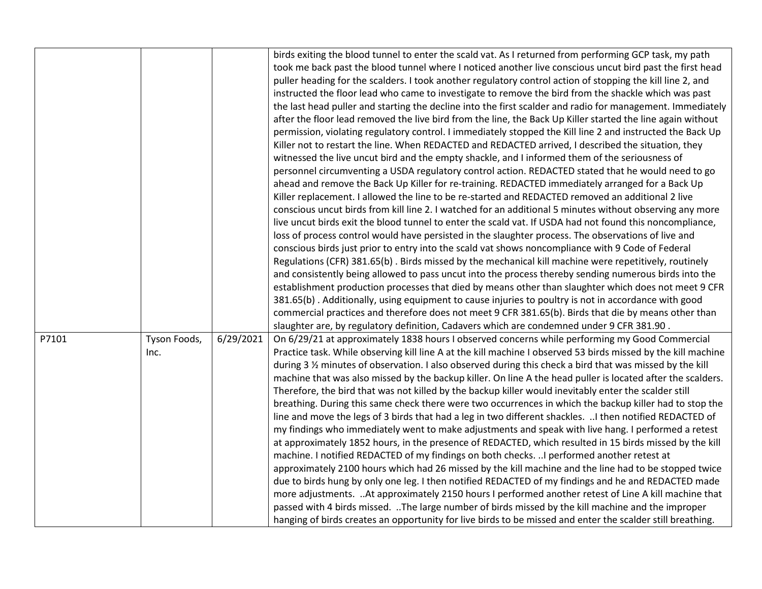|       |                      |           | birds exiting the blood tunnel to enter the scald vat. As I returned from performing GCP task, my path<br>took me back past the blood tunnel where I noticed another live conscious uncut bird past the first head<br>puller heading for the scalders. I took another regulatory control action of stopping the kill line 2, and<br>instructed the floor lead who came to investigate to remove the bird from the shackle which was past<br>the last head puller and starting the decline into the first scalder and radio for management. Immediately<br>after the floor lead removed the live bird from the line, the Back Up Killer started the line again without<br>permission, violating regulatory control. I immediately stopped the Kill line 2 and instructed the Back Up<br>Killer not to restart the line. When REDACTED and REDACTED arrived, I described the situation, they<br>witnessed the live uncut bird and the empty shackle, and I informed them of the seriousness of<br>personnel circumventing a USDA regulatory control action. REDACTED stated that he would need to go<br>ahead and remove the Back Up Killer for re-training. REDACTED immediately arranged for a Back Up<br>Killer replacement. I allowed the line to be re-started and REDACTED removed an additional 2 live<br>conscious uncut birds from kill line 2. I watched for an additional 5 minutes without observing any more<br>live uncut birds exit the blood tunnel to enter the scald vat. If USDA had not found this noncompliance,<br>loss of process control would have persisted in the slaughter process. The observations of live and<br>conscious birds just prior to entry into the scald vat shows noncompliance with 9 Code of Federal<br>Regulations (CFR) 381.65(b). Birds missed by the mechanical kill machine were repetitively, routinely<br>and consistently being allowed to pass uncut into the process thereby sending numerous birds into the<br>establishment production processes that died by means other than slaughter which does not meet 9 CFR<br>381.65(b). Additionally, using equipment to cause injuries to poultry is not in accordance with good<br>commercial practices and therefore does not meet 9 CFR 381.65(b). Birds that die by means other than |
|-------|----------------------|-----------|-------------------------------------------------------------------------------------------------------------------------------------------------------------------------------------------------------------------------------------------------------------------------------------------------------------------------------------------------------------------------------------------------------------------------------------------------------------------------------------------------------------------------------------------------------------------------------------------------------------------------------------------------------------------------------------------------------------------------------------------------------------------------------------------------------------------------------------------------------------------------------------------------------------------------------------------------------------------------------------------------------------------------------------------------------------------------------------------------------------------------------------------------------------------------------------------------------------------------------------------------------------------------------------------------------------------------------------------------------------------------------------------------------------------------------------------------------------------------------------------------------------------------------------------------------------------------------------------------------------------------------------------------------------------------------------------------------------------------------------------------------------------------------------------------------------------------------------------------------------------------------------------------------------------------------------------------------------------------------------------------------------------------------------------------------------------------------------------------------------------------------------------------------------------------------------------------------------------------------------------------------------------------------------------|
| P7101 | Tyson Foods,<br>Inc. | 6/29/2021 | slaughter are, by regulatory definition, Cadavers which are condemned under 9 CFR 381.90.<br>On 6/29/21 at approximately 1838 hours I observed concerns while performing my Good Commercial<br>Practice task. While observing kill line A at the kill machine I observed 53 birds missed by the kill machine<br>during 3 % minutes of observation. I also observed during this check a bird that was missed by the kill<br>machine that was also missed by the backup killer. On line A the head puller is located after the scalders.<br>Therefore, the bird that was not killed by the backup killer would inevitably enter the scalder still<br>breathing. During this same check there were two occurrences in which the backup killer had to stop the<br>line and move the legs of 3 birds that had a leg in two different shackles.  I then notified REDACTED of<br>my findings who immediately went to make adjustments and speak with live hang. I performed a retest<br>at approximately 1852 hours, in the presence of REDACTED, which resulted in 15 birds missed by the kill<br>machine. I notified REDACTED of my findings on both checks.  I performed another retest at<br>approximately 2100 hours which had 26 missed by the kill machine and the line had to be stopped twice<br>due to birds hung by only one leg. I then notified REDACTED of my findings and he and REDACTED made<br>more adjustments.  At approximately 2150 hours I performed another retest of Line A kill machine that<br>passed with 4 birds missed. The large number of birds missed by the kill machine and the improper<br>hanging of birds creates an opportunity for live birds to be missed and enter the scalder still breathing.                                                                                                                                                                                                                                                                                                                                                                                                                                                                                                                                                        |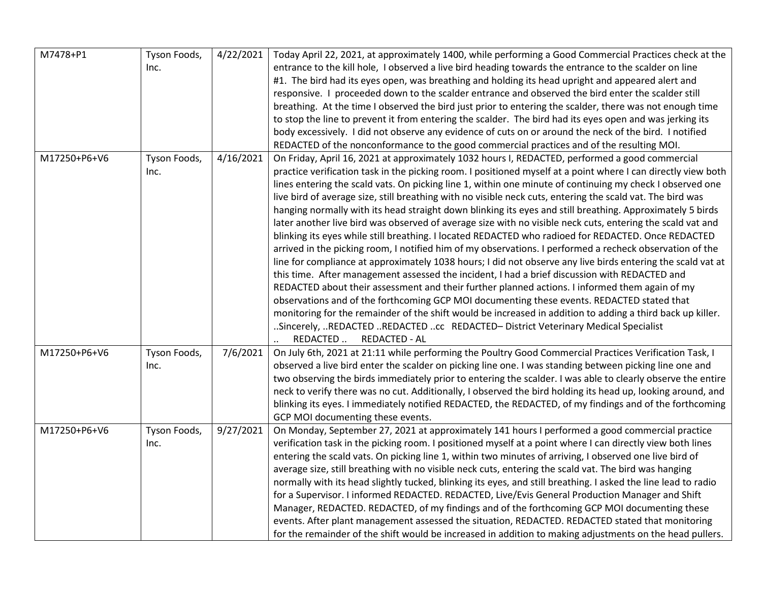| M7478+P1     | Tyson Foods,<br>Inc. | 4/22/2021 | Today April 22, 2021, at approximately 1400, while performing a Good Commercial Practices check at the<br>entrance to the kill hole, I observed a live bird heading towards the entrance to the scalder on line<br>#1. The bird had its eyes open, was breathing and holding its head upright and appeared alert and<br>responsive. I proceeded down to the scalder entrance and observed the bird enter the scalder still<br>breathing. At the time I observed the bird just prior to entering the scalder, there was not enough time<br>to stop the line to prevent it from entering the scalder. The bird had its eyes open and was jerking its<br>body excessively. I did not observe any evidence of cuts on or around the neck of the bird. I notified<br>REDACTED of the nonconformance to the good commercial practices and of the resulting MOI.                                                                                                                                                                                                                                                                                                                                                                                                                                                                                                                                                                                                                                                                                      |
|--------------|----------------------|-----------|------------------------------------------------------------------------------------------------------------------------------------------------------------------------------------------------------------------------------------------------------------------------------------------------------------------------------------------------------------------------------------------------------------------------------------------------------------------------------------------------------------------------------------------------------------------------------------------------------------------------------------------------------------------------------------------------------------------------------------------------------------------------------------------------------------------------------------------------------------------------------------------------------------------------------------------------------------------------------------------------------------------------------------------------------------------------------------------------------------------------------------------------------------------------------------------------------------------------------------------------------------------------------------------------------------------------------------------------------------------------------------------------------------------------------------------------------------------------------------------------------------------------------------------------|
| M17250+P6+V6 | Tyson Foods,<br>Inc. | 4/16/2021 | On Friday, April 16, 2021 at approximately 1032 hours I, REDACTED, performed a good commercial<br>practice verification task in the picking room. I positioned myself at a point where I can directly view both<br>lines entering the scald vats. On picking line 1, within one minute of continuing my check I observed one<br>live bird of average size, still breathing with no visible neck cuts, entering the scald vat. The bird was<br>hanging normally with its head straight down blinking its eyes and still breathing. Approximately 5 birds<br>later another live bird was observed of average size with no visible neck cuts, entering the scald vat and<br>blinking its eyes while still breathing. I located REDACTED who radioed for REDACTED. Once REDACTED<br>arrived in the picking room, I notified him of my observations. I performed a recheck observation of the<br>line for compliance at approximately 1038 hours; I did not observe any live birds entering the scald vat at<br>this time. After management assessed the incident, I had a brief discussion with REDACTED and<br>REDACTED about their assessment and their further planned actions. I informed them again of my<br>observations and of the forthcoming GCP MOI documenting these events. REDACTED stated that<br>monitoring for the remainder of the shift would be increased in addition to adding a third back up killer.<br>Sincerely, REDACTED REDACTED cc REDACTED- District Veterinary Medical Specialist<br><b>REDACTED - AL</b><br>REDACTED |
| M17250+P6+V6 | Tyson Foods,<br>Inc. | 7/6/2021  | On July 6th, 2021 at 21:11 while performing the Poultry Good Commercial Practices Verification Task, I<br>observed a live bird enter the scalder on picking line one. I was standing between picking line one and<br>two observing the birds immediately prior to entering the scalder. I was able to clearly observe the entire<br>neck to verify there was no cut. Additionally, I observed the bird holding its head up, looking around, and<br>blinking its eyes. I immediately notified REDACTED, the REDACTED, of my findings and of the forthcoming<br>GCP MOI documenting these events.                                                                                                                                                                                                                                                                                                                                                                                                                                                                                                                                                                                                                                                                                                                                                                                                                                                                                                                                                |
| M17250+P6+V6 | Tyson Foods,<br>Inc. | 9/27/2021 | On Monday, September 27, 2021 at approximately 141 hours I performed a good commercial practice<br>verification task in the picking room. I positioned myself at a point where I can directly view both lines<br>entering the scald vats. On picking line 1, within two minutes of arriving, I observed one live bird of<br>average size, still breathing with no visible neck cuts, entering the scald vat. The bird was hanging<br>normally with its head slightly tucked, blinking its eyes, and still breathing. I asked the line lead to radio<br>for a Supervisor. I informed REDACTED. REDACTED, Live/Evis General Production Manager and Shift<br>Manager, REDACTED. REDACTED, of my findings and of the forthcoming GCP MOI documenting these<br>events. After plant management assessed the situation, REDACTED. REDACTED stated that monitoring<br>for the remainder of the shift would be increased in addition to making adjustments on the head pullers.                                                                                                                                                                                                                                                                                                                                                                                                                                                                                                                                                                         |